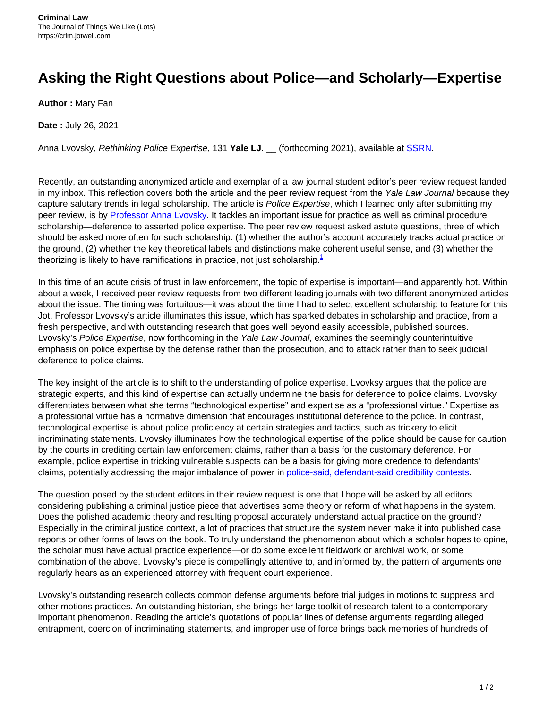## **Asking the Right Questions about Police—and Scholarly—Expertise**

**Author :** Mary Fan

**Date :** July 26, 2021

Anna Lvovsky, Rethinking Police Expertise, 131 **Yale LJ.** \_\_ (forthcoming 2021), available at [SSRN](https://ssrn.com/abstract=3827315).

Recently, an outstanding anonymized article and exemplar of a law journal student editor's peer review request landed in my inbox. This reflection covers both the article and the peer review request from the Yale Law Journal because they capture salutary trends in legal scholarship. The article is Police Expertise, which I learned only after submitting my peer review, is by [Professor Anna Lvovsky.](https://hls.harvard.edu/faculty/directory/11714/Lvovsky) It tackles an important issue for practice as well as criminal procedure scholarship—deference to asserted police expertise. The peer review request asked astute questions, three of which should be asked more often for such scholarship: (1) whether the author's account accurately tracks actual practice on the ground, (2) whether the key theoretical labels and distinctions make coherent useful sense, and (3) whether the theorizing is likely to have ramifications in practice, not just scholarship. $<sup>1</sup>$ </sup>

In this time of an acute crisis of trust in law enforcement, the topic of expertise is important—and apparently hot. Within about a week, I received peer review requests from two different leading journals with two different anonymized articles about the issue. The timing was fortuitous—it was about the time I had to select excellent scholarship to feature for this Jot. Professor Lvovsky's article illuminates this issue, which has sparked debates in scholarship and practice, from a fresh perspective, and with outstanding research that goes well beyond easily accessible, published sources. Lvovsky's Police Expertise, now forthcoming in the Yale Law Journal, examines the seemingly counterintuitive emphasis on police expertise by the defense rather than the prosecution, and to attack rather than to seek judicial deference to police claims.

The key insight of the article is to shift to the understanding of police expertise. Lvovksy argues that the police are strategic experts, and this kind of expertise can actually undermine the basis for deference to police claims. Lvovsky differentiates between what she terms "technological expertise" and expertise as a "professional virtue." Expertise as a professional virtue has a normative dimension that encourages institutional deference to the police. In contrast, technological expertise is about police proficiency at certain strategies and tactics, such as trickery to elicit incriminating statements. Lvovsky illuminates how the technological expertise of the police should be cause for caution by the courts in crediting certain law enforcement claims, rather than a basis for the customary deference. For example, police expertise in tricking vulnerable suspects can be a basis for giving more credence to defendants' claims, potentially addressing the major imbalance of power in [police-said, defendant-said credibility contests](https://papers.ssrn.com/sol3/papers.cfm?abstract_id=2773886).

The question posed by the student editors in their review request is one that I hope will be asked by all editors considering publishing a criminal justice piece that advertises some theory or reform of what happens in the system. Does the polished academic theory and resulting proposal accurately understand actual practice on the ground? Especially in the criminal justice context, a lot of practices that structure the system never make it into published case reports or other forms of laws on the book. To truly understand the phenomenon about which a scholar hopes to opine, the scholar must have actual practice experience—or do some excellent fieldwork or archival work, or some combination of the above. Lvovsky's piece is compellingly attentive to, and informed by, the pattern of arguments one regularly hears as an experienced attorney with frequent court experience.

Lvovsky's outstanding research collects common defense arguments before trial judges in motions to suppress and other motions practices. An outstanding historian, she brings her large toolkit of research talent to a contemporary important phenomenon. Reading the article's quotations of popular lines of defense arguments regarding alleged entrapment, coercion of incriminating statements, and improper use of force brings back memories of hundreds of